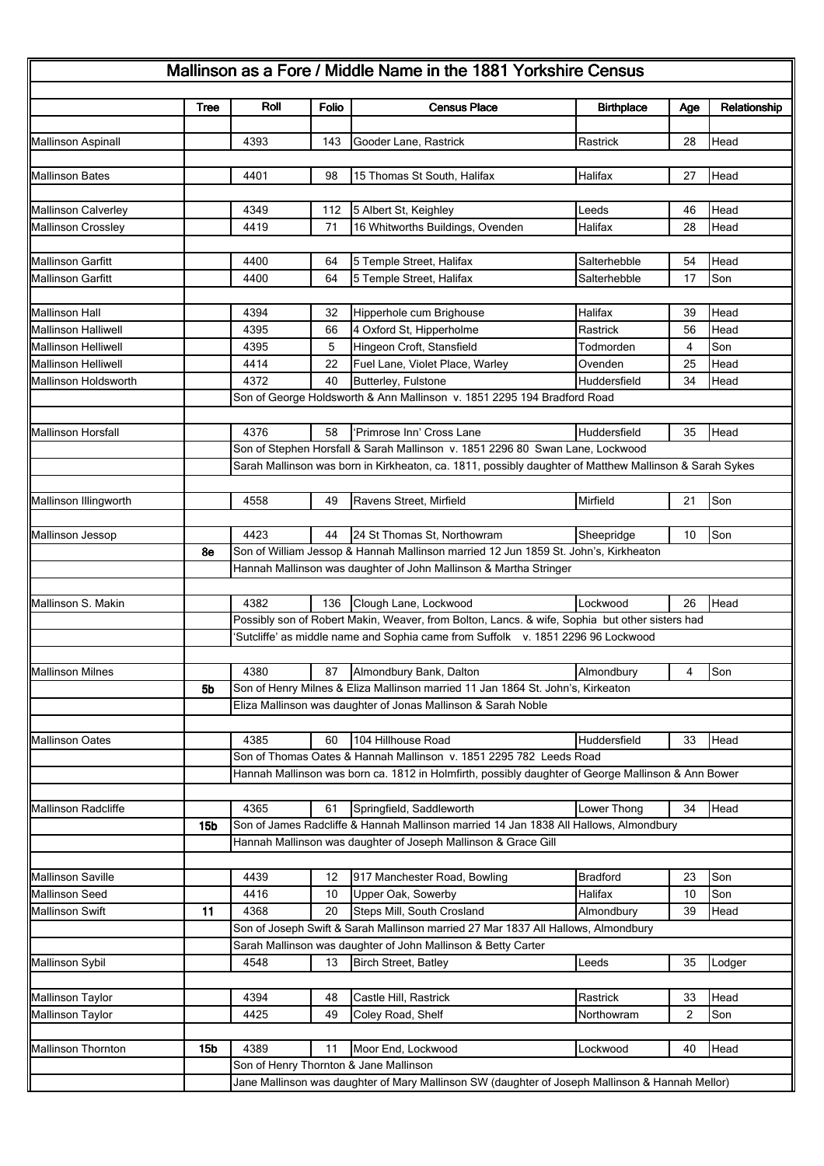|                            | <b>Tree</b>     | Roll                                                                                                                                                     | Folio | <b>Census Place</b>                                                                                               | <b>Birthplace</b> | Age | Relationship |  |  |  |
|----------------------------|-----------------|----------------------------------------------------------------------------------------------------------------------------------------------------------|-------|-------------------------------------------------------------------------------------------------------------------|-------------------|-----|--------------|--|--|--|
| <b>Mallinson Aspinall</b>  |                 | 4393                                                                                                                                                     | 143   | Gooder Lane, Rastrick                                                                                             | Rastrick          | 28  | Head         |  |  |  |
|                            |                 |                                                                                                                                                          |       |                                                                                                                   |                   |     |              |  |  |  |
| Mallinson Bates            |                 | 4401                                                                                                                                                     | 98    | 15 Thomas St South, Halifax                                                                                       | Halifax           | 27  | Head         |  |  |  |
|                            |                 |                                                                                                                                                          |       |                                                                                                                   |                   |     |              |  |  |  |
| Mallinson Calverley        |                 | 4349                                                                                                                                                     | 112   | 5 Albert St, Keighley                                                                                             | Leeds             | 46  | Head         |  |  |  |
| <b>Mallinson Crossley</b>  |                 | 4419                                                                                                                                                     | 71    | 16 Whitworths Buildings, Ovenden                                                                                  | Halifax           | 28  | Head         |  |  |  |
|                            |                 |                                                                                                                                                          |       |                                                                                                                   |                   |     |              |  |  |  |
| <b>Mallinson Garfitt</b>   |                 | 4400                                                                                                                                                     | 64    | 5 Temple Street, Halifax                                                                                          | Salterhebble      | 54  | Head         |  |  |  |
| Mallinson Garfitt          |                 | 4400                                                                                                                                                     | 64    | 5 Temple Street, Halifax                                                                                          | Salterhebble      | 17  | Son          |  |  |  |
| <b>Mallinson Hall</b>      |                 | 4394                                                                                                                                                     | 32    |                                                                                                                   | Halifax           | 39  | Head         |  |  |  |
| <b>Mallinson Halliwell</b> |                 | 4395                                                                                                                                                     | 66    | Hipperhole cum Brighouse<br>4 Oxford St, Hipperholme                                                              | Rastrick          | 56  | Head         |  |  |  |
| Mallinson Helliwell        |                 | 4395                                                                                                                                                     | 5     | Hingeon Croft, Stansfield                                                                                         | Todmorden         | 4   | Son          |  |  |  |
| <b>Mallinson Helliwell</b> |                 | 4414                                                                                                                                                     | 22    | Fuel Lane, Violet Place, Warley                                                                                   | Ovenden           | 25  | Head         |  |  |  |
| Mallinson Holdsworth       |                 | 4372                                                                                                                                                     | 40    | Butterley, Fulstone                                                                                               | Huddersfield      | 34  | Head         |  |  |  |
|                            |                 |                                                                                                                                                          |       | Son of George Holdsworth & Ann Mallinson v. 1851 2295 194 Bradford Road                                           |                   |     |              |  |  |  |
|                            |                 |                                                                                                                                                          |       |                                                                                                                   |                   |     |              |  |  |  |
| <b>Mallinson Horsfall</b>  |                 | 4376                                                                                                                                                     | 58    | 'Primrose Inn' Cross Lane                                                                                         | Huddersfield      | 35  | Head         |  |  |  |
|                            |                 |                                                                                                                                                          |       | Son of Stephen Horsfall & Sarah Mallinson v. 1851 2296 80 Swan Lane, Lockwood                                     |                   |     |              |  |  |  |
|                            |                 | Sarah Mallinson was born in Kirkheaton, ca. 1811, possibly daughter of Matthew Mallinson & Sarah Sykes                                                   |       |                                                                                                                   |                   |     |              |  |  |  |
|                            |                 |                                                                                                                                                          |       |                                                                                                                   |                   |     |              |  |  |  |
| Mallinson Illingworth      |                 | 4558                                                                                                                                                     | 49    | Ravens Street, Mirfield                                                                                           | Mirfield          | 21  | Son          |  |  |  |
|                            |                 |                                                                                                                                                          |       |                                                                                                                   |                   |     |              |  |  |  |
| Mallinson Jessop           |                 | 4423                                                                                                                                                     | 44    | 24 St Thomas St, Northowram                                                                                       | Sheepridge        | 10  | Son          |  |  |  |
|                            | 8e              | Son of William Jessop & Hannah Mallinson married 12 Jun 1859 St. John's, Kirkheaton<br>Hannah Mallinson was daughter of John Mallinson & Martha Stringer |       |                                                                                                                   |                   |     |              |  |  |  |
|                            |                 |                                                                                                                                                          |       |                                                                                                                   |                   |     |              |  |  |  |
| Mallinson S. Makin         |                 | 4382                                                                                                                                                     | 136   | Clough Lane, Lockwood                                                                                             | Lockwood          | 26  | Head         |  |  |  |
|                            |                 |                                                                                                                                                          |       | Possibly son of Robert Makin, Weaver, from Bolton, Lancs. & wife, Sophia but other sisters had                    |                   |     |              |  |  |  |
|                            |                 | 'Sutcliffe' as middle name and Sophia came from Suffolk v. 1851 2296 96 Lockwood                                                                         |       |                                                                                                                   |                   |     |              |  |  |  |
|                            |                 |                                                                                                                                                          |       |                                                                                                                   |                   |     |              |  |  |  |
| <b>Mallinson Milnes</b>    |                 | 4380                                                                                                                                                     | 87    | Almondbury Bank, Dalton                                                                                           | Almondbury        | 4   | Son          |  |  |  |
|                            | 5b              |                                                                                                                                                          |       | Son of Henry Milnes & Eliza Mallinson married 11 Jan 1864 St. John's, Kirkeaton                                   |                   |     |              |  |  |  |
|                            |                 | Eliza Mallinson was daughter of Jonas Mallinson & Sarah Noble                                                                                            |       |                                                                                                                   |                   |     |              |  |  |  |
|                            |                 |                                                                                                                                                          |       |                                                                                                                   |                   |     |              |  |  |  |
| <b>Mallinson Oates</b>     |                 | 4385                                                                                                                                                     | 60    | 104 Hillhouse Road                                                                                                | Huddersfield      | 33  | Head         |  |  |  |
|                            |                 | Son of Thomas Oates & Hannah Mallinson v. 1851 2295 782 Leeds Road                                                                                       |       |                                                                                                                   |                   |     |              |  |  |  |
|                            |                 | Hannah Mallinson was born ca. 1812 in Holmfirth, possibly daughter of George Mallinson & Ann Bower                                                       |       |                                                                                                                   |                   |     |              |  |  |  |
|                            |                 |                                                                                                                                                          |       |                                                                                                                   |                   |     |              |  |  |  |
| <b>Mallinson Radcliffe</b> |                 | 4365                                                                                                                                                     | 61    | Springfield, Saddleworth<br>Son of James Radcliffe & Hannah Mallinson married 14 Jan 1838 All Hallows, Almondbury | Lower Thong       | 34  | Head         |  |  |  |
|                            | 15 <sub>b</sub> |                                                                                                                                                          |       |                                                                                                                   |                   |     |              |  |  |  |
|                            |                 | Hannah Mallinson was daughter of Joseph Mallinson & Grace Gill                                                                                           |       |                                                                                                                   |                   |     |              |  |  |  |
| <b>Mallinson Saville</b>   |                 | 4439                                                                                                                                                     | 12    | 917 Manchester Road, Bowling                                                                                      | <b>Bradford</b>   | 23  | Son          |  |  |  |
| Mallinson Seed             |                 | 4416                                                                                                                                                     | 10    | Upper Oak, Sowerby                                                                                                | Halifax           | 10  | Son          |  |  |  |
| <b>Mallinson Swift</b>     | 11              | 4368                                                                                                                                                     | 20    | Steps Mill, South Crosland                                                                                        | Almondbury        | 39  | Head         |  |  |  |
|                            |                 |                                                                                                                                                          |       | Son of Joseph Swift & Sarah Mallinson married 27 Mar 1837 All Hallows, Almondbury                                 |                   |     |              |  |  |  |
|                            |                 |                                                                                                                                                          |       | Sarah Mallinson was daughter of John Mallinson & Betty Carter                                                     |                   |     |              |  |  |  |
| Mallinson Sybil            |                 | 4548                                                                                                                                                     | 13    | <b>Birch Street, Batley</b>                                                                                       | Leeds             | 35  | Lodger       |  |  |  |
|                            |                 |                                                                                                                                                          |       |                                                                                                                   |                   |     |              |  |  |  |
| <b>Mallinson Taylor</b>    |                 | 4394                                                                                                                                                     | 48    | Castle Hill, Rastrick                                                                                             | Rastrick          | 33  | Head         |  |  |  |
| Mallinson Taylor           |                 | 4425                                                                                                                                                     | 49    | Coley Road, Shelf                                                                                                 | Northowram        | 2   | Son          |  |  |  |
|                            |                 |                                                                                                                                                          |       |                                                                                                                   |                   |     |              |  |  |  |
| <b>Mallinson Thornton</b>  | <b>15b</b>      | 4389                                                                                                                                                     | 11    | Moor End, Lockwood                                                                                                | Lockwood          | 40  | Head         |  |  |  |
|                            |                 | Son of Henry Thornton & Jane Mallinson<br>Jane Mallinson was daughter of Mary Mallinson SW (daughter of Joseph Mallinson & Hannah Mellor)                |       |                                                                                                                   |                   |     |              |  |  |  |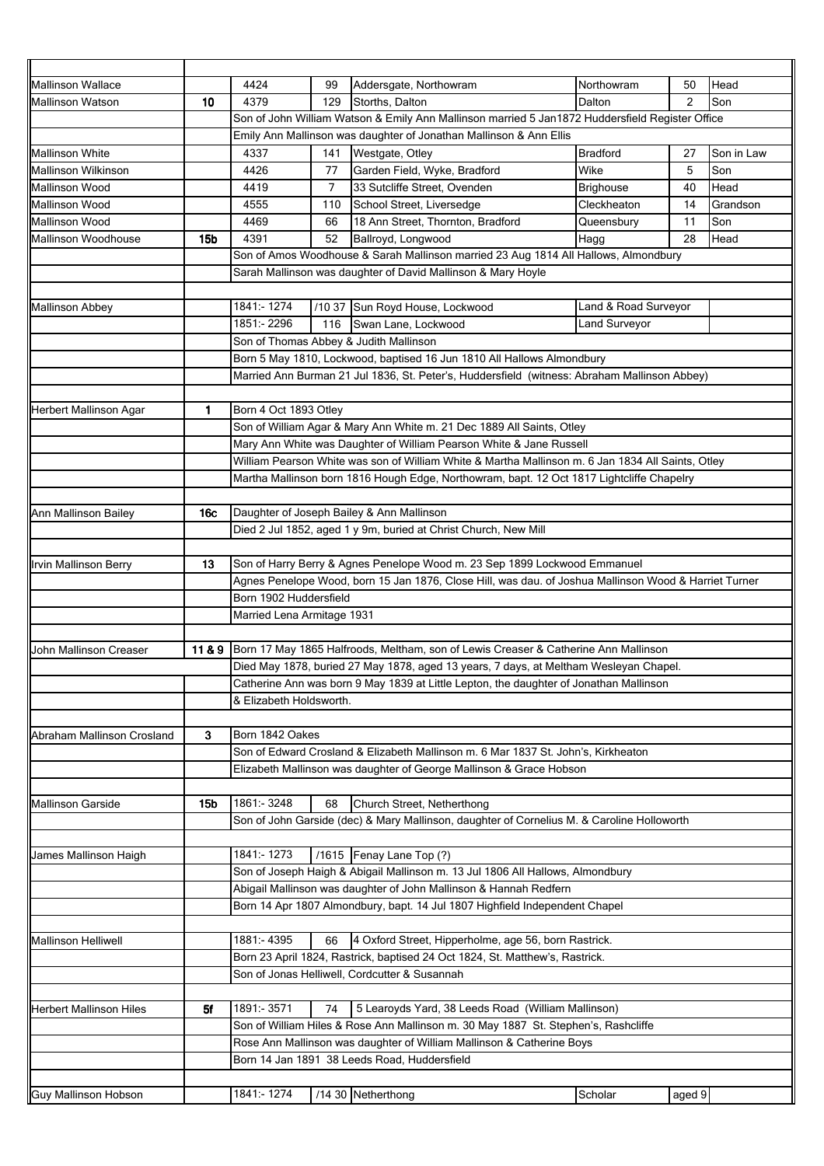| <b>Mallinson Wallace</b>                                                                                 |                                                                                                                       | 4424                                                                                                              | 99                                      | Addersgate, Northowram                                                                       | Northowram           | 50     | Head       |  |
|----------------------------------------------------------------------------------------------------------|-----------------------------------------------------------------------------------------------------------------------|-------------------------------------------------------------------------------------------------------------------|-----------------------------------------|----------------------------------------------------------------------------------------------|----------------------|--------|------------|--|
| <b>Mallinson Watson</b>                                                                                  | 10                                                                                                                    | 4379<br>129<br>Storths, Dalton<br>Dalton                                                                          |                                         |                                                                                              |                      | 2      | Son        |  |
|                                                                                                          |                                                                                                                       | Son of John William Watson & Emily Ann Mallinson married 5 Jan1872 Huddersfield Register Office                   |                                         |                                                                                              |                      |        |            |  |
|                                                                                                          |                                                                                                                       | Emily Ann Mallinson was daughter of Jonathan Mallinson & Ann Ellis                                                |                                         |                                                                                              |                      |        |            |  |
| <b>Mallinson White</b>                                                                                   |                                                                                                                       | 4337                                                                                                              | 141                                     | Westgate, Otley                                                                              | <b>Bradford</b>      | 27     | Son in Law |  |
| Mallinson Wilkinson                                                                                      |                                                                                                                       | 4426<br>Garden Field, Wyke, Bradford<br>77                                                                        |                                         | Wike                                                                                         | 5                    | Son    |            |  |
| Mallinson Wood                                                                                           |                                                                                                                       | 33 Sutcliffe Street, Ovenden<br>4419<br>7                                                                         |                                         | <b>Brighouse</b>                                                                             | 40                   | Head   |            |  |
| Mallinson Wood                                                                                           |                                                                                                                       | 4555                                                                                                              | School Street, Liversedge<br>110        |                                                                                              | Cleckheaton          | 14     | Grandson   |  |
| <b>Mallinson Wood</b>                                                                                    |                                                                                                                       | 4469                                                                                                              | 18 Ann Street, Thornton, Bradford<br>66 |                                                                                              | Queensbury           | 11     | Son        |  |
| Mallinson Woodhouse                                                                                      | <b>15b</b>                                                                                                            | 4391                                                                                                              | Ballroyd, Longwood<br>52                | Hagg                                                                                         | 28                   | Head   |            |  |
|                                                                                                          |                                                                                                                       |                                                                                                                   |                                         | Son of Amos Woodhouse & Sarah Mallinson married 23 Aug 1814 All Hallows, Almondbury          |                      |        |            |  |
|                                                                                                          |                                                                                                                       |                                                                                                                   |                                         | Sarah Mallinson was daughter of David Mallinson & Mary Hoyle                                 |                      |        |            |  |
|                                                                                                          |                                                                                                                       |                                                                                                                   |                                         |                                                                                              |                      |        |            |  |
| <b>Mallinson Abbey</b>                                                                                   |                                                                                                                       | 1841 - 1274                                                                                                       |                                         | /10 37 Sun Royd House, Lockwood                                                              | Land & Road Surveyor |        |            |  |
| 1851:-2296<br>116<br>Swan Lane, Lockwood                                                                 |                                                                                                                       |                                                                                                                   |                                         | Land Surveyor                                                                                |                      |        |            |  |
|                                                                                                          |                                                                                                                       | Son of Thomas Abbey & Judith Mallinson                                                                            |                                         |                                                                                              |                      |        |            |  |
|                                                                                                          |                                                                                                                       | Born 5 May 1810, Lockwood, baptised 16 Jun 1810 All Hallows Almondbury                                            |                                         |                                                                                              |                      |        |            |  |
|                                                                                                          |                                                                                                                       |                                                                                                                   |                                         | Married Ann Burman 21 Jul 1836, St. Peter's, Huddersfield (witness: Abraham Mallinson Abbey) |                      |        |            |  |
|                                                                                                          |                                                                                                                       |                                                                                                                   |                                         |                                                                                              |                      |        |            |  |
| Herbert Mallinson Agar                                                                                   | 1                                                                                                                     | Born 4 Oct 1893 Otley                                                                                             |                                         |                                                                                              |                      |        |            |  |
|                                                                                                          |                                                                                                                       |                                                                                                                   |                                         | Son of William Agar & Mary Ann White m. 21 Dec 1889 All Saints, Otley                        |                      |        |            |  |
|                                                                                                          |                                                                                                                       |                                                                                                                   |                                         | Mary Ann White was Daughter of William Pearson White & Jane Russell                          |                      |        |            |  |
|                                                                                                          |                                                                                                                       | William Pearson White was son of William White & Martha Mallinson m. 6 Jan 1834 All Saints, Otley                 |                                         |                                                                                              |                      |        |            |  |
|                                                                                                          |                                                                                                                       | Martha Mallinson born 1816 Hough Edge, Northowram, bapt. 12 Oct 1817 Lightcliffe Chapelry                         |                                         |                                                                                              |                      |        |            |  |
|                                                                                                          |                                                                                                                       |                                                                                                                   |                                         |                                                                                              |                      |        |            |  |
| Ann Mallinson Bailey                                                                                     | 16c                                                                                                                   |                                                                                                                   |                                         | Daughter of Joseph Bailey & Ann Mallinson                                                    |                      |        |            |  |
|                                                                                                          |                                                                                                                       |                                                                                                                   |                                         | Died 2 Jul 1852, aged 1 y 9m, buried at Christ Church, New Mill                              |                      |        |            |  |
|                                                                                                          |                                                                                                                       |                                                                                                                   |                                         |                                                                                              |                      |        |            |  |
| Son of Harry Berry & Agnes Penelope Wood m. 23 Sep 1899 Lockwood Emmanuel<br>13<br>Irvin Mallinson Berry |                                                                                                                       |                                                                                                                   |                                         |                                                                                              |                      |        |            |  |
|                                                                                                          |                                                                                                                       | Agnes Penelope Wood, born 15 Jan 1876, Close Hill, was dau. of Joshua Mallinson Wood & Harriet Turner             |                                         |                                                                                              |                      |        |            |  |
|                                                                                                          |                                                                                                                       | Born 1902 Huddersfield                                                                                            |                                         |                                                                                              |                      |        |            |  |
|                                                                                                          | Married Lena Armitage 1931                                                                                            |                                                                                                                   |                                         |                                                                                              |                      |        |            |  |
|                                                                                                          |                                                                                                                       |                                                                                                                   |                                         |                                                                                              |                      |        |            |  |
|                                                                                                          | Born 17 May 1865 Halfroods, Meltham, son of Lewis Creaser & Catherine Ann Mallinson<br>John Mallinson Creaser<br>11&9 |                                                                                                                   |                                         |                                                                                              |                      |        |            |  |
|                                                                                                          |                                                                                                                       | Died May 1878, buried 27 May 1878, aged 13 years, 7 days, at Meltham Wesleyan Chapel.                             |                                         |                                                                                              |                      |        |            |  |
|                                                                                                          |                                                                                                                       | Catherine Ann was born 9 May 1839 at Little Lepton, the daughter of Jonathan Mallinson<br>& Elizabeth Holdsworth. |                                         |                                                                                              |                      |        |            |  |
|                                                                                                          |                                                                                                                       |                                                                                                                   |                                         |                                                                                              |                      |        |            |  |
| Born 1842 Oakes<br>Abraham Mallinson Crosland<br>3                                                       |                                                                                                                       |                                                                                                                   |                                         |                                                                                              |                      |        |            |  |
|                                                                                                          |                                                                                                                       | Son of Edward Crosland & Elizabeth Mallinson m. 6 Mar 1837 St. John's, Kirkheaton                                 |                                         |                                                                                              |                      |        |            |  |
|                                                                                                          |                                                                                                                       | Elizabeth Mallinson was daughter of George Mallinson & Grace Hobson                                               |                                         |                                                                                              |                      |        |            |  |
|                                                                                                          |                                                                                                                       |                                                                                                                   |                                         |                                                                                              |                      |        |            |  |
| <b>Mallinson Garside</b>                                                                                 | 15 <sub>b</sub>                                                                                                       | 1861:-3248                                                                                                        | 68                                      | Church Street, Netherthong                                                                   |                      |        |            |  |
|                                                                                                          | Son of John Garside (dec) & Mary Mallinson, daughter of Cornelius M. & Caroline Holloworth                            |                                                                                                                   |                                         |                                                                                              |                      |        |            |  |
|                                                                                                          |                                                                                                                       |                                                                                                                   |                                         |                                                                                              |                      |        |            |  |
| James Mallinson Haigh                                                                                    |                                                                                                                       | 1841:-1273                                                                                                        |                                         | /1615 Fenay Lane Top (?)                                                                     |                      |        |            |  |
|                                                                                                          |                                                                                                                       |                                                                                                                   |                                         | Son of Joseph Haigh & Abigail Mallinson m. 13 Jul 1806 All Hallows, Almondbury               |                      |        |            |  |
|                                                                                                          |                                                                                                                       | Abigail Mallinson was daughter of John Mallinson & Hannah Redfern                                                 |                                         |                                                                                              |                      |        |            |  |
|                                                                                                          |                                                                                                                       |                                                                                                                   |                                         | Born 14 Apr 1807 Almondbury, bapt. 14 Jul 1807 Highfield Independent Chapel                  |                      |        |            |  |
|                                                                                                          |                                                                                                                       |                                                                                                                   |                                         |                                                                                              |                      |        |            |  |
| <b>Mallinson Helliwell</b>                                                                               |                                                                                                                       | 1881: 4395<br>4 Oxford Street, Hipperholme, age 56, born Rastrick.<br>66                                          |                                         |                                                                                              |                      |        |            |  |
|                                                                                                          |                                                                                                                       | Born 23 April 1824, Rastrick, baptised 24 Oct 1824, St. Matthew's, Rastrick.                                      |                                         |                                                                                              |                      |        |            |  |
|                                                                                                          |                                                                                                                       |                                                                                                                   |                                         | Son of Jonas Helliwell, Cordcutter & Susannah                                                |                      |        |            |  |
|                                                                                                          |                                                                                                                       |                                                                                                                   |                                         |                                                                                              |                      |        |            |  |
| <b>Herbert Mallinson Hiles</b>                                                                           | 5f                                                                                                                    | 1891:-3571                                                                                                        | 74                                      | 5 Learoyds Yard, 38 Leeds Road (William Mallinson)                                           |                      |        |            |  |
|                                                                                                          |                                                                                                                       | Son of William Hiles & Rose Ann Mallinson m. 30 May 1887 St. Stephen's, Rashcliffe                                |                                         |                                                                                              |                      |        |            |  |
|                                                                                                          |                                                                                                                       | Rose Ann Mallinson was daughter of William Mallinson & Catherine Boys                                             |                                         |                                                                                              |                      |        |            |  |
|                                                                                                          |                                                                                                                       | Born 14 Jan 1891 38 Leeds Road, Huddersfield                                                                      |                                         |                                                                                              |                      |        |            |  |
|                                                                                                          |                                                                                                                       |                                                                                                                   |                                         |                                                                                              |                      |        |            |  |
| Guy Mallinson Hobson                                                                                     |                                                                                                                       | 1841:-1274                                                                                                        |                                         | /14 30 Netherthong                                                                           | Scholar              | aged 9 |            |  |